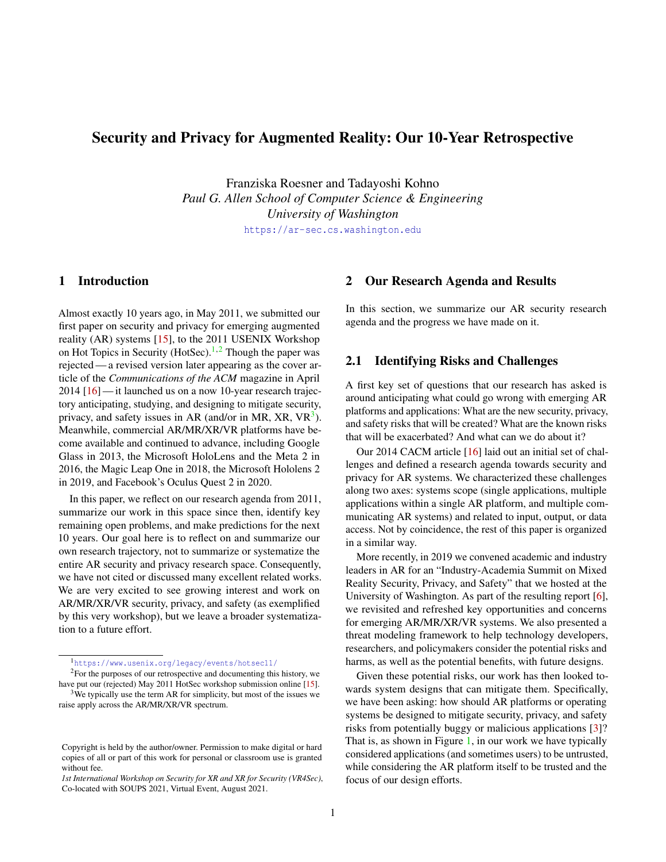# Security and Privacy for Augmented Reality: Our 10-Year Retrospective

Franziska Roesner and Tadayoshi Kohno *Paul G. Allen School of Computer Science & Engineering University of Washington*

<https://ar-sec.cs.washington.edu>

# 1 Introduction

Almost exactly 10 years ago, in May 2011, we submitted our first paper on security and privacy for emerging augmented reality (AR) systems [\[15\]](#page-4-0), to the 2011 USENIX Workshop on Hot Topics in Security (HotSec).<sup>[1,](#page-0-0)[2](#page-0-1)</sup> Though the paper was rejected— a revised version later appearing as the cover article of the *Communications of the ACM* magazine in April 2014 [\[16\]](#page-4-1) — it launched us on a now 10-year research trajectory anticipating, studying, and designing to mitigate security, privacy, and safety issues in AR (and/or in MR, XR,  $VR<sup>3</sup>$  $VR<sup>3</sup>$  $VR<sup>3</sup>$ ). Meanwhile, commercial AR/MR/XR/VR platforms have become available and continued to advance, including Google Glass in 2013, the Microsoft HoloLens and the Meta 2 in 2016, the Magic Leap One in 2018, the Microsoft Hololens 2 in 2019, and Facebook's Oculus Quest 2 in 2020.

In this paper, we reflect on our research agenda from 2011, summarize our work in this space since then, identify key remaining open problems, and make predictions for the next 10 years. Our goal here is to reflect on and summarize our own research trajectory, not to summarize or systematize the entire AR security and privacy research space. Consequently, we have not cited or discussed many excellent related works. We are very excited to see growing interest and work on AR/MR/XR/VR security, privacy, and safety (as exemplified by this very workshop), but we leave a broader systematization to a future effort.

<span id="page-0-1"></span><span id="page-0-0"></span><sup>1</sup><https://www.usenix.org/legacy/events/hotsec11/>

<span id="page-0-2"></span><sup>2</sup>For the purposes of our retrospective and documenting this history, we have put our (rejected) May 2011 HotSec workshop submission online [\[15\]](#page-4-0).  $3$ We typically use the term AR for simplicity, but most of the issues we raise apply across the AR/MR/XR/VR spectrum.

### 2 Our Research Agenda and Results

In this section, we summarize our AR security research agenda and the progress we have made on it.

### 2.1 Identifying Risks and Challenges

A first key set of questions that our research has asked is around anticipating what could go wrong with emerging AR platforms and applications: What are the new security, privacy, and safety risks that will be created? What are the known risks that will be exacerbated? And what can we do about it?

Our 2014 CACM article [\[16\]](#page-4-1) laid out an initial set of challenges and defined a research agenda towards security and privacy for AR systems. We characterized these challenges along two axes: systems scope (single applications, multiple applications within a single AR platform, and multiple communicating AR systems) and related to input, output, or data access. Not by coincidence, the rest of this paper is organized in a similar way.

More recently, in 2019 we convened academic and industry leaders in AR for an "Industry-Academia Summit on Mixed Reality Security, Privacy, and Safety" that we hosted at the University of Washington. As part of the resulting report [\[6\]](#page-4-2), we revisited and refreshed key opportunities and concerns for emerging AR/MR/XR/VR systems. We also presented a threat modeling framework to help technology developers, researchers, and policymakers consider the potential risks and harms, as well as the potential benefits, with future designs.

Given these potential risks, our work has then looked towards system designs that can mitigate them. Specifically, we have been asking: how should AR platforms or operating systems be designed to mitigate security, privacy, and safety risks from potentially buggy or malicious applications [\[3\]](#page-4-3)? That is, as shown in Figure [1,](#page-1-0) in our work we have typically considered applications (and sometimes users) to be untrusted, while considering the AR platform itself to be trusted and the focus of our design efforts.

Copyright is held by the author/owner. Permission to make digital or hard copies of all or part of this work for personal or classroom use is granted without fee.

*<sup>1</sup>st International Workshop on Security for XR and XR for Security (VR4Sec)*, Co-located with SOUPS 2021, Virtual Event, August 2021.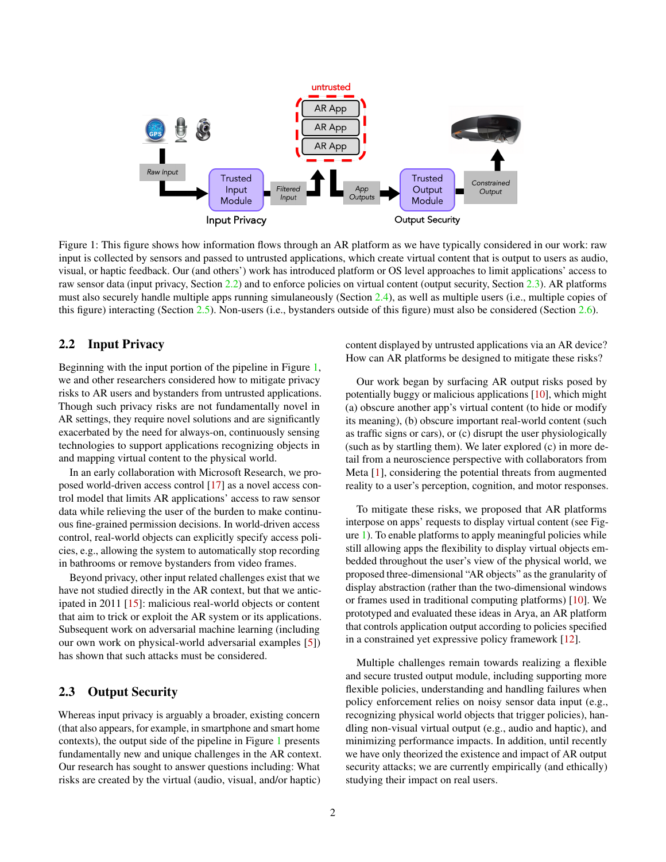

Figure 1: This figure shows how information flows through an AR platform as we have typically considered in our work: raw input is collected by sensors and passed to untrusted applications, which create virtual content that is output to users as audio, visual, or haptic feedback. Our (and others') work has introduced platform or OS level approaches to limit applications' access to raw sensor data (input privacy, Section [2.2\)](#page-1-1) and to enforce policies on virtual content (output security, Section [2.3\)](#page-1-2). AR platforms must also securely handle multiple apps running simulaneously (Section [2.4\)](#page-2-0), as well as multiple users (i.e., multiple copies of this figure) interacting (Section [2.5\)](#page-2-1). Non-users (i.e., bystanders outside of this figure) must also be considered (Section [2.6\)](#page-2-2).

# <span id="page-1-1"></span>2.2 Input Privacy

Beginning with the input portion of the pipeline in Figure [1,](#page-1-0) we and other researchers considered how to mitigate privacy risks to AR users and bystanders from untrusted applications. Though such privacy risks are not fundamentally novel in AR settings, they require novel solutions and are significantly exacerbated by the need for always-on, continuously sensing technologies to support applications recognizing objects in and mapping virtual content to the physical world.

In an early collaboration with Microsoft Research, we proposed world-driven access control [\[17\]](#page-4-4) as a novel access control model that limits AR applications' access to raw sensor data while relieving the user of the burden to make continuous fine-grained permission decisions. In world-driven access control, real-world objects can explicitly specify access policies, e.g., allowing the system to automatically stop recording in bathrooms or remove bystanders from video frames.

Beyond privacy, other input related challenges exist that we have not studied directly in the AR context, but that we anticipated in 2011 [\[15\]](#page-4-0): malicious real-world objects or content that aim to trick or exploit the AR system or its applications. Subsequent work on adversarial machine learning (including our own work on physical-world adversarial examples [\[5\]](#page-4-5)) has shown that such attacks must be considered.

### <span id="page-1-2"></span>2.3 Output Security

Whereas input privacy is arguably a broader, existing concern (that also appears, for example, in smartphone and smart home contexts), the output side of the pipeline in Figure [1](#page-1-0) presents fundamentally new and unique challenges in the AR context. Our research has sought to answer questions including: What risks are created by the virtual (audio, visual, and/or haptic) <span id="page-1-0"></span>content displayed by untrusted applications via an AR device? How can AR platforms be designed to mitigate these risks?

Our work began by surfacing AR output risks posed by potentially buggy or malicious applications [\[10\]](#page-4-6), which might (a) obscure another app's virtual content (to hide or modify its meaning), (b) obscure important real-world content (such as traffic signs or cars), or (c) disrupt the user physiologically (such as by startling them). We later explored (c) in more detail from a neuroscience perspective with collaborators from Meta [\[1\]](#page-4-7), considering the potential threats from augmented reality to a user's perception, cognition, and motor responses.

To mitigate these risks, we proposed that AR platforms interpose on apps' requests to display virtual content (see Figure [1\)](#page-1-0). To enable platforms to apply meaningful policies while still allowing apps the flexibility to display virtual objects embedded throughout the user's view of the physical world, we proposed three-dimensional "AR objects" as the granularity of display abstraction (rather than the two-dimensional windows or frames used in traditional computing platforms) [\[10\]](#page-4-6). We prototyped and evaluated these ideas in Arya, an AR platform that controls application output according to policies specified in a constrained yet expressive policy framework [\[12\]](#page-4-8).

Multiple challenges remain towards realizing a flexible and secure trusted output module, including supporting more flexible policies, understanding and handling failures when policy enforcement relies on noisy sensor data input (e.g., recognizing physical world objects that trigger policies), handling non-visual virtual output (e.g., audio and haptic), and minimizing performance impacts. In addition, until recently we have only theorized the existence and impact of AR output security attacks; we are currently empirically (and ethically) studying their impact on real users.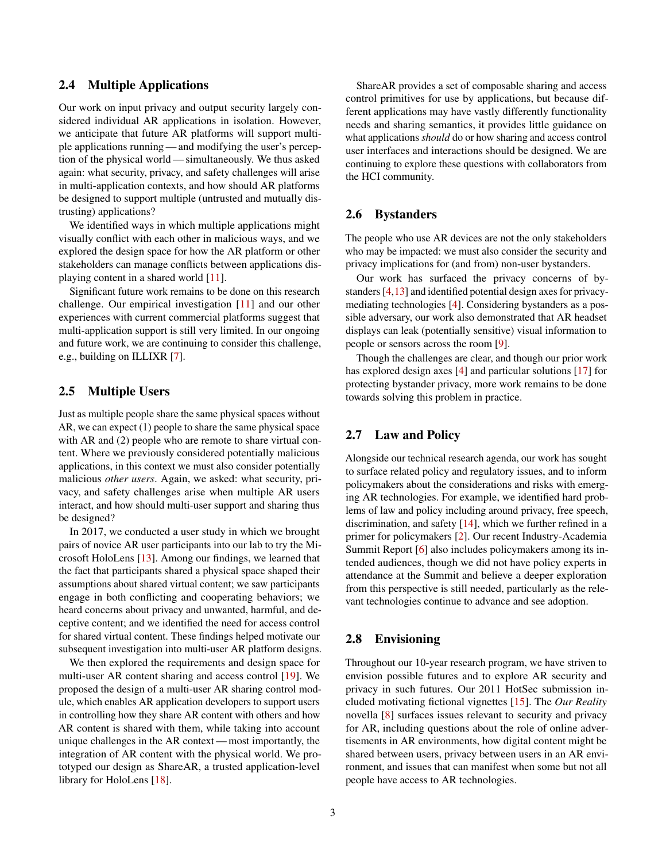# <span id="page-2-0"></span>2.4 Multiple Applications

Our work on input privacy and output security largely considered individual AR applications in isolation. However, we anticipate that future AR platforms will support multiple applications running— and modifying the user's perception of the physical world— simultaneously. We thus asked again: what security, privacy, and safety challenges will arise in multi-application contexts, and how should AR platforms be designed to support multiple (untrusted and mutually distrusting) applications?

We identified ways in which multiple applications might visually conflict with each other in malicious ways, and we explored the design space for how the AR platform or other stakeholders can manage conflicts between applications displaying content in a shared world [\[11\]](#page-4-9).

Significant future work remains to be done on this research challenge. Our empirical investigation [\[11\]](#page-4-9) and our other experiences with current commercial platforms suggest that multi-application support is still very limited. In our ongoing and future work, we are continuing to consider this challenge, e.g., building on ILLIXR [\[7\]](#page-4-10).

# <span id="page-2-1"></span>2.5 Multiple Users

Just as multiple people share the same physical spaces without AR, we can expect (1) people to share the same physical space with AR and (2) people who are remote to share virtual content. Where we previously considered potentially malicious applications, in this context we must also consider potentially malicious *other users*. Again, we asked: what security, privacy, and safety challenges arise when multiple AR users interact, and how should multi-user support and sharing thus be designed?

In 2017, we conducted a user study in which we brought pairs of novice AR user participants into our lab to try the Microsoft HoloLens [\[13\]](#page-4-11). Among our findings, we learned that the fact that participants shared a physical space shaped their assumptions about shared virtual content; we saw participants engage in both conflicting and cooperating behaviors; we heard concerns about privacy and unwanted, harmful, and deceptive content; and we identified the need for access control for shared virtual content. These findings helped motivate our subsequent investigation into multi-user AR platform designs.

We then explored the requirements and design space for multi-user AR content sharing and access control [\[19\]](#page-4-12). We proposed the design of a multi-user AR sharing control module, which enables AR application developers to support users in controlling how they share AR content with others and how AR content is shared with them, while taking into account unique challenges in the AR context — most importantly, the integration of AR content with the physical world. We prototyped our design as ShareAR, a trusted application-level library for HoloLens [\[18\]](#page-4-13).

ShareAR provides a set of composable sharing and access control primitives for use by applications, but because different applications may have vastly differently functionality needs and sharing semantics, it provides little guidance on what applications *should* do or how sharing and access control user interfaces and interactions should be designed. We are continuing to explore these questions with collaborators from the HCI community.

### <span id="page-2-2"></span>2.6 Bystanders

The people who use AR devices are not the only stakeholders who may be impacted: we must also consider the security and privacy implications for (and from) non-user bystanders.

Our work has surfaced the privacy concerns of bystanders [\[4,](#page-4-14)[13\]](#page-4-11) and identified potential design axes for privacymediating technologies [\[4\]](#page-4-14). Considering bystanders as a possible adversary, our work also demonstrated that AR headset displays can leak (potentially sensitive) visual information to people or sensors across the room [\[9\]](#page-4-15).

Though the challenges are clear, and though our prior work has explored design axes [\[4\]](#page-4-14) and particular solutions [\[17\]](#page-4-4) for protecting bystander privacy, more work remains to be done towards solving this problem in practice.

# 2.7 Law and Policy

Alongside our technical research agenda, our work has sought to surface related policy and regulatory issues, and to inform policymakers about the considerations and risks with emerging AR technologies. For example, we identified hard problems of law and policy including around privacy, free speech, discrimination, and safety [\[14\]](#page-4-16), which we further refined in a primer for policymakers [\[2\]](#page-4-17). Our recent Industry-Academia Summit Report [\[6\]](#page-4-2) also includes policymakers among its intended audiences, though we did not have policy experts in attendance at the Summit and believe a deeper exploration from this perspective is still needed, particularly as the relevant technologies continue to advance and see adoption.

### 2.8 Envisioning

Throughout our 10-year research program, we have striven to envision possible futures and to explore AR security and privacy in such futures. Our 2011 HotSec submission included motivating fictional vignettes [\[15\]](#page-4-0). The *Our Reality* novella [\[8\]](#page-4-18) surfaces issues relevant to security and privacy for AR, including questions about the role of online advertisements in AR environments, how digital content might be shared between users, privacy between users in an AR environment, and issues that can manifest when some but not all people have access to AR technologies.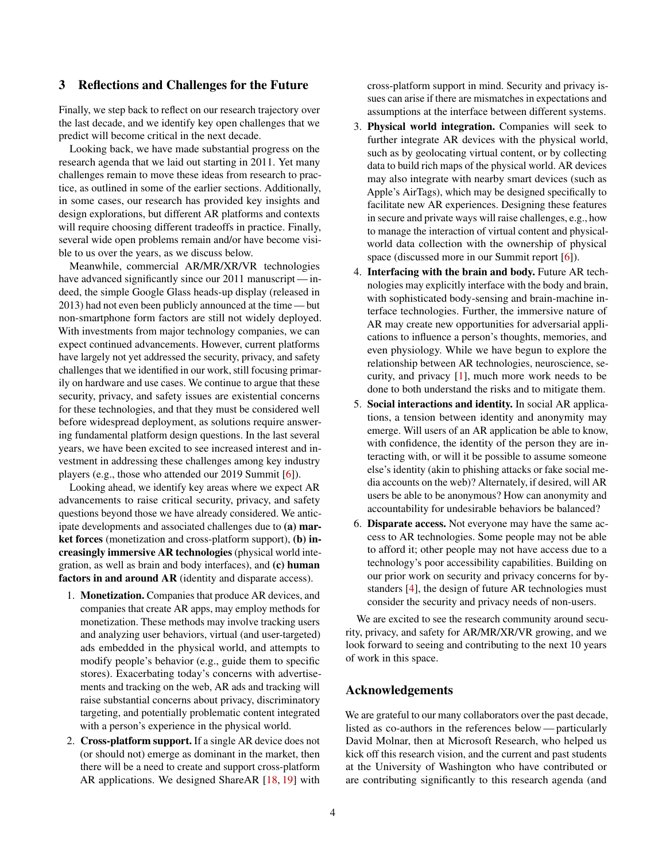### 3 Reflections and Challenges for the Future

Finally, we step back to reflect on our research trajectory over the last decade, and we identify key open challenges that we predict will become critical in the next decade.

Looking back, we have made substantial progress on the research agenda that we laid out starting in 2011. Yet many challenges remain to move these ideas from research to practice, as outlined in some of the earlier sections. Additionally, in some cases, our research has provided key insights and design explorations, but different AR platforms and contexts will require choosing different tradeoffs in practice. Finally, several wide open problems remain and/or have become visible to us over the years, as we discuss below.

Meanwhile, commercial AR/MR/XR/VR technologies have advanced significantly since our 2011 manuscript — indeed, the simple Google Glass heads-up display (released in 2013) had not even been publicly announced at the time — but non-smartphone form factors are still not widely deployed. With investments from major technology companies, we can expect continued advancements. However, current platforms have largely not yet addressed the security, privacy, and safety challenges that we identified in our work, still focusing primarily on hardware and use cases. We continue to argue that these security, privacy, and safety issues are existential concerns for these technologies, and that they must be considered well before widespread deployment, as solutions require answering fundamental platform design questions. In the last several years, we have been excited to see increased interest and investment in addressing these challenges among key industry players (e.g., those who attended our 2019 Summit [\[6\]](#page-4-2)).

Looking ahead, we identify key areas where we expect AR advancements to raise critical security, privacy, and safety questions beyond those we have already considered. We anticipate developments and associated challenges due to (a) market forces (monetization and cross-platform support), (b) increasingly immersive AR technologies (physical world integration, as well as brain and body interfaces), and (c) human factors in and around AR (identity and disparate access).

- 1. Monetization. Companies that produce AR devices, and companies that create AR apps, may employ methods for monetization. These methods may involve tracking users and analyzing user behaviors, virtual (and user-targeted) ads embedded in the physical world, and attempts to modify people's behavior (e.g., guide them to specific stores). Exacerbating today's concerns with advertisements and tracking on the web, AR ads and tracking will raise substantial concerns about privacy, discriminatory targeting, and potentially problematic content integrated with a person's experience in the physical world.
- 2. Cross-platform support. If a single AR device does not (or should not) emerge as dominant in the market, then there will be a need to create and support cross-platform AR applications. We designed ShareAR [\[18,](#page-4-13) [19\]](#page-4-12) with

cross-platform support in mind. Security and privacy issues can arise if there are mismatches in expectations and assumptions at the interface between different systems.

- 3. Physical world integration. Companies will seek to further integrate AR devices with the physical world, such as by geolocating virtual content, or by collecting data to build rich maps of the physical world. AR devices may also integrate with nearby smart devices (such as Apple's AirTags), which may be designed specifically to facilitate new AR experiences. Designing these features in secure and private ways will raise challenges, e.g., how to manage the interaction of virtual content and physicalworld data collection with the ownership of physical space (discussed more in our Summit report [\[6\]](#page-4-2)).
- 4. Interfacing with the brain and body. Future AR technologies may explicitly interface with the body and brain, with sophisticated body-sensing and brain-machine interface technologies. Further, the immersive nature of AR may create new opportunities for adversarial applications to influence a person's thoughts, memories, and even physiology. While we have begun to explore the relationship between AR technologies, neuroscience, security, and privacy [\[1\]](#page-4-7), much more work needs to be done to both understand the risks and to mitigate them.
- 5. Social interactions and identity. In social AR applications, a tension between identity and anonymity may emerge. Will users of an AR application be able to know, with confidence, the identity of the person they are interacting with, or will it be possible to assume someone else's identity (akin to phishing attacks or fake social media accounts on the web)? Alternately, if desired, will AR users be able to be anonymous? How can anonymity and accountability for undesirable behaviors be balanced?
- 6. Disparate access. Not everyone may have the same access to AR technologies. Some people may not be able to afford it; other people may not have access due to a technology's poor accessibility capabilities. Building on our prior work on security and privacy concerns for bystanders [\[4\]](#page-4-14), the design of future AR technologies must consider the security and privacy needs of non-users.

We are excited to see the research community around security, privacy, and safety for AR/MR/XR/VR growing, and we look forward to seeing and contributing to the next 10 years of work in this space.

# Acknowledgements

We are grateful to our many collaborators over the past decade, listed as co-authors in the references below— particularly David Molnar, then at Microsoft Research, who helped us kick off this research vision, and the current and past students at the University of Washington who have contributed or are contributing significantly to this research agenda (and